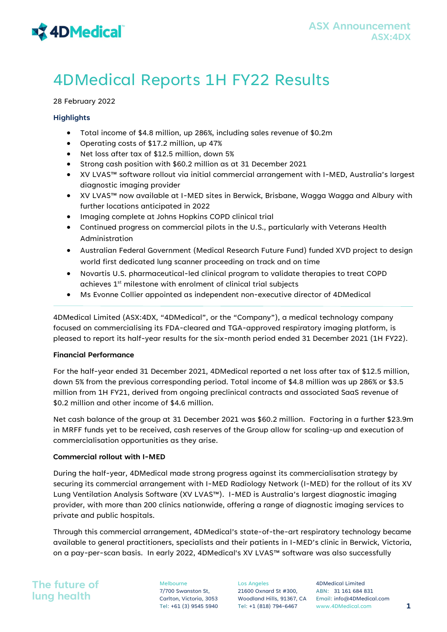# **x 4DMedical**

# 4DMedical Reports 1H FY22 Results

# 28 February 2022

# **Highlights**

- Total income of \$4.8 million, up 286%, including sales revenue of \$0.2m
- Operating costs of \$17.2 million, up 47%
- Net loss after tax of \$12.5 million, down 5%
- $\bullet$  Strong cash position with \$60.2 million as at 31 December 2021
- XV LVAS™ software rollout via initial commercial arrangement with I-MED, Australia's largest diagnostic imaging provider
- XV LVAS™ now available at I-MED sites in Berwick, Brisbane, Wagga Wagga and Albury with further locations anticipated in 2022
- $\bullet$  Imaging complete at Johns Hopkins COPD clinical trial
- Continued progress on commercial pilots in the U.S., particularly with Veterans Health Administration
- Australian Federal Government (Medical Research Future Fund) funded XVD project to design world first dedicated lung scanner proceeding on track and on time
- Novartis U.S. pharmaceutical-led clinical program to validate therapies to treat COPD achieves 1<sup>st</sup> milestone with enrolment of clinical trial subjects
- Ms Evonne Collier appointed as independent non-executive director of 4DMedical

4DMedical Limited (ASX:4DX, "4DMedical", or the "Company"), a medical technology company focused on commercialising its FDA-cleared and TGA-approved respiratory imaging platform, is pleased to report its half-year results for the six-month period ended 31 December 2021 (1H FY22).

# Financial Performance

For the half-year ended 31 December 2021, 4DMedical reported a net loss after tax of \$12.5 million, down 5% from the previous corresponding period. Total income of \$4.8 million was up 286% or \$3.5 million from 1H FY21, derived from ongoing preclinical contracts and associated SaaS revenue of \$0.2 million and other income of \$4.6 million.

Net cash balance of the group at 31 December 2021 was \$60.2 million. Factoring in a further \$23.9m in MRFF funds yet to be received, cash reserves of the Group allow for scaling-up and execution of commercialisation opportunities as they arise.

# Commercial rollout with I-MED

During the half-year, 4DMedical made strong progress against its commercialisation strategy by securing its commercial arrangement with I-MED Radiology Network (I-MED) for the rollout of its XV Lung Ventilation Analysis Software (XV LVAS™). I-MED is Australia's largest diagnostic imaging provider, with more than 200 clinics nationwide, offering a range of diagnostic imaging services to private and public hospitals.

Through this commercial arrangement, 4DMedical's state-of-the-art respiratory technology became available to general practitioners, specialists and their patients in I-MED's clinic in Berwick, Victoria, on a pay-per-scan basis. In early 2022, 4DMedical's XV LVAS™ software was also successfully

The future of lung health

Melbourne 7/700 Swanston St, Carlton, Victoria, 3053 Los Angeles 21600 Oxnard St #300,

Woodland Hills, 91367, CA Email: info@4DMedical.com 4DMedical Limited ABN: 31 161 684 831 Tel: +61 (3) 9545 5940 Tel: +1 (818) 794-6467 www.4DMedical.com 1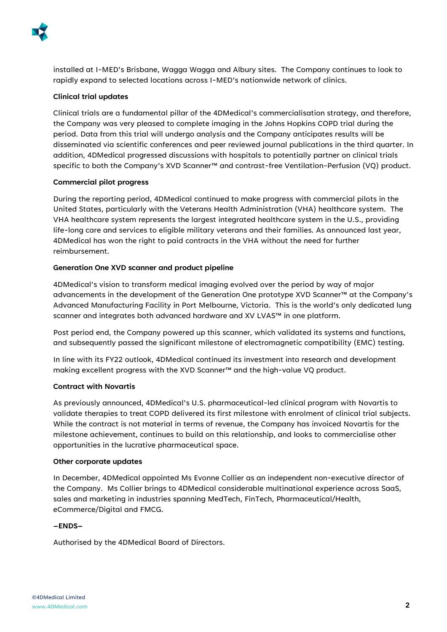

installed at I-MED's Brisbane, Wagga Wagga and Albury sites. The Company continues to look to rapidly expand to selected locations across I-MED's nationwide network of clinics.

# Clinical trial updates

Clinical trials are a fundamental pillar of the 4DMedical's commercialisation strategy, and therefore, the Company was very pleased to complete imaging in the Johns Hopkins COPD trial during the period. Data from this trial will undergo analysis and the Company anticipates results will be disseminated via scientific conferences and peer reviewed journal publications in the third quarter. In addition, 4DMedical progressed discussions with hospitals to potentially partner on clinical trials specific to both the Company's XVD Scanner™ and contrast-free Ventilation-Perfusion (VQ) product.

# Commercial pilot progress

During the reporting period, 4DMedical continued to make progress with commercial pilots in the United States, particularly with the Veterans Health Administration (VHA) healthcare system. The VHA healthcare system represents the largest integrated healthcare system in the U.S., providing life-long care and services to eligible military veterans and their families. As announced last year, 4DMedical has won the right to paid contracts in the VHA without the need for further reimbursement.

# Generation One XVD scanner and product pipeline

4DMedical's vision to transform medical imaging evolved over the period by way of major advancements in the development of the Generation One prototype XVD Scanner™ at the Company's Advanced Manufacturing Facility in Port Melbourne, Victoria. This is the world's only dedicated lung scanner and integrates both advanced hardware and XV LVAS™ in one platform.

Post period end, the Company powered up this scanner, which validated its systems and functions, and subsequently passed the significant milestone of electromagnetic compatibility (EMC) testing.

In line with its FY22 outlook, 4DMedical continued its investment into research and development making excellent progress with the XVD Scanner™ and the high-value VQ product.

# Contract with Novartis

As previously announced, 4DMedical's U.S. pharmaceutical-led clinical program with Novartis to validate therapies to treat COPD delivered its first milestone with enrolment of clinical trial subjects. While the contract is not material in terms of revenue, the Company has invoiced Novartis for the milestone achievement, continues to build on this relationship, and looks to commercialise other opportunities in the lucrative pharmaceutical space.

# Other corporate updates

In December, 4DMedical appointed Ms Evonne Collier as an independent non-executive director of the Company. Ms Collier brings to 4DMedical considerable multinational experience across SaaS, sales and marketing in industries spanning MedTech, FinTech, Pharmaceutical/Health, eCommerce/Digital and FMCG.

# –ENDS–

Authorised by the 4DMedical Board of Directors.